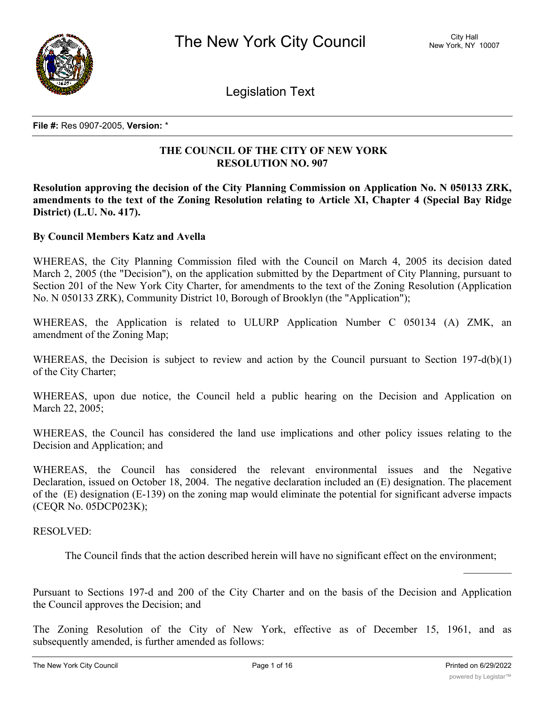

Legislation Text

**File #:** Res 0907-2005, **Version:** \*

# **THE COUNCIL OF THE CITY OF NEW YORK RESOLUTION NO. 907**

**Resolution approving the decision of the City Planning Commission on Application No. N 050133 ZRK, amendments to the text of the Zoning Resolution relating to Article XI, Chapter 4 (Special Bay Ridge District) (L.U. No. 417).**

# **By Council Members Katz and Avella**

WHEREAS, the City Planning Commission filed with the Council on March 4, 2005 its decision dated March 2, 2005 (the "Decision"), on the application submitted by the Department of City Planning, pursuant to Section 201 of the New York City Charter, for amendments to the text of the Zoning Resolution (Application No. N 050133 ZRK), Community District 10, Borough of Brooklyn (the "Application");

WHEREAS, the Application is related to ULURP Application Number C 050134 (A) ZMK, an amendment of the Zoning Map;

WHEREAS, the Decision is subject to review and action by the Council pursuant to Section 197-d(b)(1) of the City Charter;

WHEREAS, upon due notice, the Council held a public hearing on the Decision and Application on March 22, 2005;

WHEREAS, the Council has considered the land use implications and other policy issues relating to the Decision and Application; and

WHEREAS, the Council has considered the relevant environmental issues and the Negative Declaration, issued on October 18, 2004. The negative declaration included an (E) designation. The placement of the (E) designation (E-139) on the zoning map would eliminate the potential for significant adverse impacts (CEQR No. 05DCP023K);

RESOLVED:

The Council finds that the action described herein will have no significant effect on the environment;

Pursuant to Sections 197-d and 200 of the City Charter and on the basis of the Decision and Application the Council approves the Decision; and

The Zoning Resolution of the City of New York, effective as of December 15, 1961, and as subsequently amended, is further amended as follows: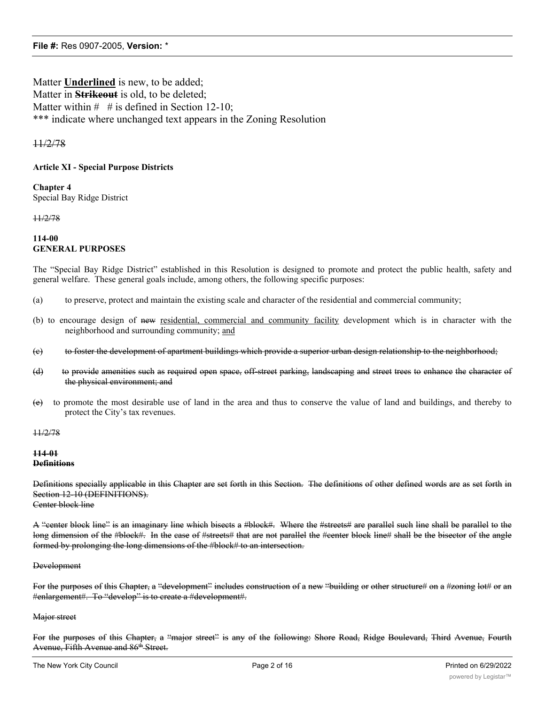Matter **Underlined** is new, to be added; Matter in **Strikeout** is old, to be deleted; Matter within  $\#$  # is defined in Section 12-10; \*\*\* indicate where unchanged text appears in the Zoning Resolution

## 11/2/78

## **Article XI - Special Purpose Districts**

**Chapter 4** Special Bay Ridge District

11/2/78

**114-00 GENERAL PURPOSES**

The "Special Bay Ridge District" established in this Resolution is designed to promote and protect the public health, safety and general welfare. These general goals include, among others, the following specific purposes:

- (a) to preserve, protect and maintain the existing scale and character of the residential and commercial community;
- (b) to encourage design of new residential, commercial and community facility development which is in character with the neighborhood and surrounding community; and
- (c) to foster the development of apartment buildings which provide a superior urban design relationship to the neighborhood;
- (d) to provide amenities such as required open space, off-street parking, landscaping and street trees to enhance the character of the physical environment; and
- (e) to promote the most desirable use of land in the area and thus to conserve the value of land and buildings, and thereby to protect the City's tax revenues.

11/2/78

#### **114-01 Definitions**

Definitions specially applicable in this Chapter are set forth in this Section. The definitions of other defined words are as set forth in Section 12-10 (DEFINITIONS).

Center block line

A "center block line" is an imaginary line which bisects a #block#. Where the #streets# are parallel such line shall be parallel to the long dimension of the #block#. In the case of #streets# that are not parallel the #center block line# shall be the bisector of the angle formed by prolonging the long dimensions of the #block# to an intersection.

#### **Development**

For the purposes of this Chapter, a "development" includes construction of a new "building or other structure# on a #zoning lot# or an #enlargement#. To "develop" is to create a #development#.

#### Major street

For the purposes of this Chapter, a "major street" is any of the following: Shore Road, Ridge Boulevard, Third Avenue, Fourth Avenue, Fifth Avenue and 86<sup>th</sup> Street.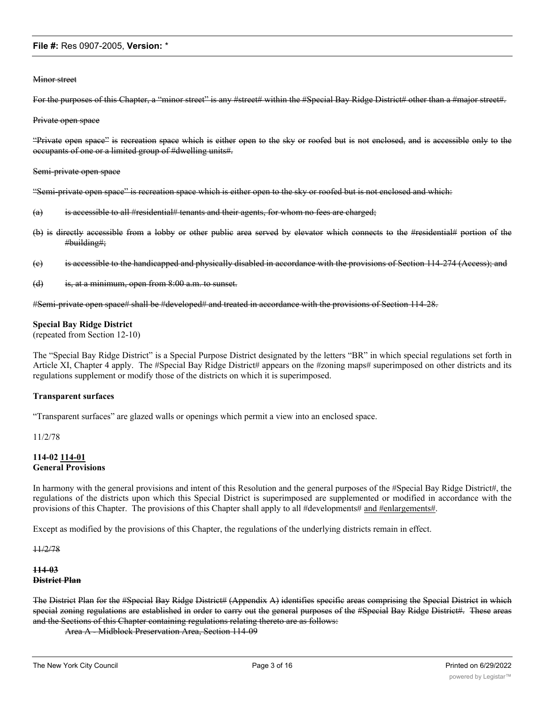#### Minor street

For the purposes of this Chapter, a "minor street" is any #street# within the #Special Bay Ridge District# other than a #major street#.

#### Private open space

"Private open space" is recreation space which is either open to the sky or roofed but is not enclosed, and is accessible only to the occupants of one or a limited group of #dwelling units#.

Semi-private open space

"Semi-private open space" is recreation space which is either open to the sky or roofed but is not enclosed and which:

- $(a)$  is accessible to all #residential# tenants and their agents, for whom no fees are charged;
- (b) is directly accessible from a lobby or other public area served by elevator which connects to the #residential# portion of the #building#;
- (c) is accessible to the handicapped and physically disabled in accordance with the provisions of Section 114-274 (Access); and
- (d) is, at a minimum, open from 8:00 a.m. to sunset.

#Semi-private open space# shall be #developed# and treated in accordance with the provisions of Section 114-28.

#### **Special Bay Ridge District**

(repeated from Section 12-10)

The "Special Bay Ridge District" is a Special Purpose District designated by the letters "BR" in which special regulations set forth in Article XI, Chapter 4 apply. The #Special Bay Ridge District# appears on the #zoning maps# superimposed on other districts and its regulations supplement or modify those of the districts on which it is superimposed.

#### **Transparent surfaces**

"Transparent surfaces" are glazed walls or openings which permit a view into an enclosed space.

11/2/78

#### **114-02 114-01 General Provisions**

In harmony with the general provisions and intent of this Resolution and the general purposes of the #Special Bay Ridge District#, the regulations of the districts upon which this Special District is superimposed are supplemented or modified in accordance with the provisions of this Chapter. The provisions of this Chapter shall apply to all #developments# and #enlargements#.

Except as modified by the provisions of this Chapter, the regulations of the underlying districts remain in effect.

11/2/78

#### **114-03 District Plan**

The District Plan for the #Special Bay Ridge District# (Appendix A) identifies specific areas comprising the Special District in which special zoning regulations are established in order to carry out the general purposes of the #Special Bay Ridge District#. These areas and the Sections of this Chapter containing regulations relating thereto are as follows:

Area A - Midblock Preservation Area, Section 114-09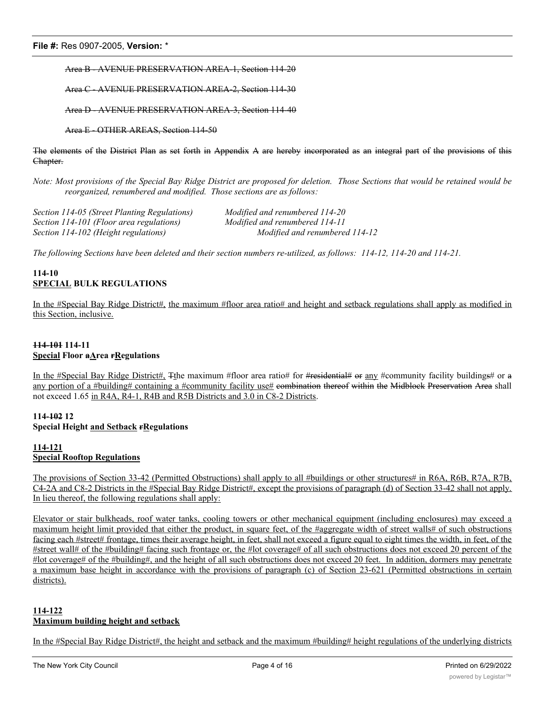Area B - AVENUE PRESERVATION AREA-1, Section 114-20

Area C - AVENUE PRESERVATION AREA-2, Section 114-30

Area D - AVENUE PRESERVATION AREA-3, Section 114-40

Area E - OTHER AREAS, Section 114-50

The elements of the District Plan as set forth in Appendix A are hereby incorporated as an integral part of the provisions of this Chapter.

Note: Most provisions of the Special Bay Ridge District are proposed for deletion. Those Sections that would be retained would be *reorganized, renumbered and modified. Those sections are as follows:*

*Section 114-05 (Street Planting Regulations) Modified and renumbered 114-20 Section 114-101 (Floor area regulations) Modified and renumbered 114-11 Section 114-102 (Height regulations) Modified and renumbered 114-12*

*The following Sections have been deleted and their section numbers re-utilized, as follows: 114-12, 114-20 and 114-21.*

# **114-10 SPECIAL BULK REGULATIONS**

In the #Special Bay Ridge District#, the maximum #floor area ratio# and height and setback regulations shall apply as modified in this Section, inclusive.

# **114-101 114-11 Special Floor aArea rRegulations**

In the #Special Bay Ridge District#, The maximum #floor area ratio# for #residential# or any #community facility buildings# or a any portion of a #building# containing a #community facility use# eombination thereof within the Midblock Preservation Area shall not exceed 1.65 in R4A, R4-1, R4B and R5B Districts and 3.0 in C8-2 Districts.

## **114-102 12 Special Height and Setback rRegulations**

## **114-121 Special Rooftop Regulations**

The provisions of Section 33-42 (Permitted Obstructions) shall apply to all #buildings or other structures# in R6A, R6B, R7A, R7B, C4-2A and C8-2 Districts in the #Special Bay Ridge District#, except the provisions of paragraph (d) of Section 33-42 shall not apply. In lieu thereof, the following regulations shall apply:

Elevator or stair bulkheads, roof water tanks, cooling towers or other mechanical equipment (including enclosures) may exceed a maximum height limit provided that either the product, in square feet, of the #aggregate width of street walls# of such obstructions facing each #street# frontage, times their average height, in feet, shall not exceed a figure equal to eight times the width, in feet, of the #street wall# of the #building# facing such frontage or, the #lot coverage# of all such obstructions does not exceed 20 percent of the #lot coverage# of the #building#, and the height of all such obstructions does not exceed 20 feet. In addition, dormers may penetrate a maximum base height in accordance with the provisions of paragraph (c) of Section 23-621 (Permitted obstructions in certain districts).

# **114-122 Maximum building height and setback**

In the #Special Bay Ridge District#, the height and setback and the maximum #building# height regulations of the underlying districts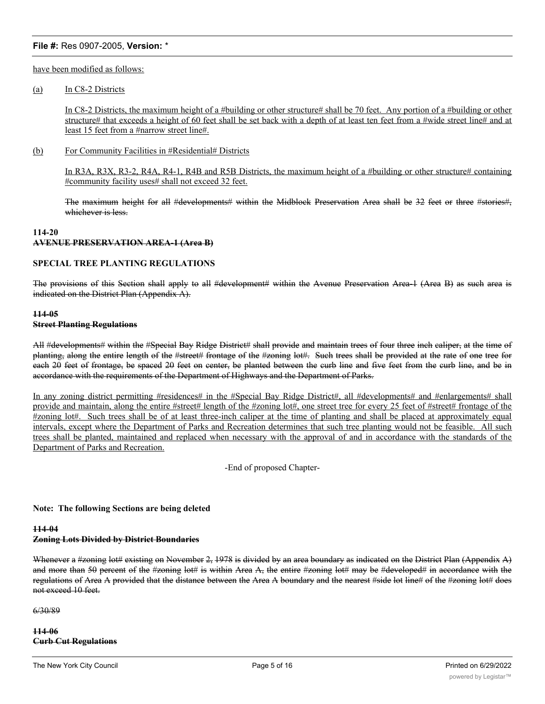have been modified as follows:

#### (a) In C8-2 Districts

In C8-2 Districts, the maximum height of a #building or other structure# shall be 70 feet. Any portion of a #building or other structure# that exceeds a height of 60 feet shall be set back with a depth of at least ten feet from a #wide street line# and at least 15 feet from a #narrow street line#.

(b) For Community Facilities in #Residential# Districts

In R3A, R3X, R3-2, R4A, R4-1, R4B and R5B Districts, the maximum height of a #building or other structure# containing #community facility uses# shall not exceed 32 feet.

The maximum height for all #developments# within the Midblock Preservation Area shall be 32 feet or three #stories#, whichever is less.

## **114-20 AVENUE PRESERVATION AREA-1 (Area B)**

## **SPECIAL TREE PLANTING REGULATIONS**

The provisions of this Section shall apply to all #development# within the Avenue Preservation Area-1 (Area B) as such area is indicated on the District Plan (Appendix A).

## **114-05 Street Planting Regulations**

All #developments# within the #Special Bay Ridge District# shall provide and maintain trees of four three inch caliper, at the time of planting, along the entire length of the #street# frontage of the #zoning lot#. Such trees shall be provided at the rate of one tree for each 20 feet of frontage, be spaced 20 feet on center, be planted between the curb line and five feet from the curb line, and be in accordance with the requirements of the Department of Highways and the Department of Parks.

In any zoning district permitting #residences# in the #Special Bay Ridge District#, all #developments# and #enlargements# shall provide and maintain, along the entire #street# length of the #zoning lot#, one street tree for every 25 feet of #street# frontage of the #zoning lot#. Such trees shall be of at least three-inch caliper at the time of planting and shall be placed at approximately equal intervals, except where the Department of Parks and Recreation determines that such tree planting would not be feasible. All such trees shall be planted, maintained and replaced when necessary with the approval of and in accordance with the standards of the Department of Parks and Recreation.

-End of proposed Chapter-

#### **Note: The following Sections are being deleted**

#### **114-04**

#### **Zoning Lots Divided by District Boundaries**

Whenever a #zoning lot# existing on November 2, 1978 is divided by an area boundary as indicated on the District Plan (Appendix A) and more than 50 percent of the #zoning lot# is within Area A, the entire #zoning lot# may be #developed# in accordance with the regulations of Area A provided that the distance between the Area A boundary and the nearest #side lot line# of the #zoning lot# does not exceed 10 feet.

6/30/89

**114-06 Curb Cut Regulations**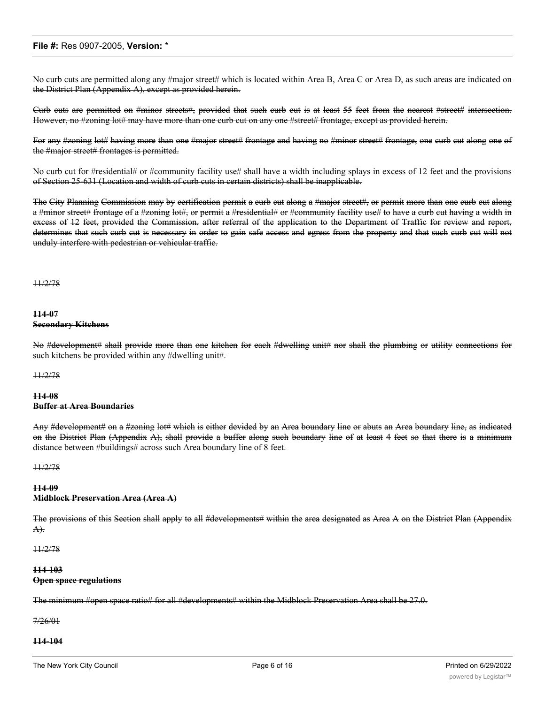No curb cuts are permitted along any #major street# which is located within Area B, Area C or Area D, as such areas are indicated on the District Plan (Appendix A), except as provided herein.

Curb cuts are permitted on #minor streets#, provided that such curb cut is at least 55 feet from the nearest #street# intersection. However, no #zoning lot# may have more than one curb cut on any one #street# frontage, except as provided herein.

For any #zoning lot# having more than one #major street# frontage and having no #minor street# frontage, one curb cut along one of the #major street# frontages is permitted.

No curb cut for #residential# or #community facility use# shall have a width including splays in excess of 12 feet and the provisions of Section 25-631 (Location and width of curb cuts in certain districts) shall be inapplicable.

The City Planning Commission may by certification permit a curb cut along a #major street#, or permit more than one curb cut along a #minor street# frontage of a #zoning lot#, or permit a #residential# or #community facility use# to have a curb cut having a width in excess of 12 feet, provided the Commission, after referral of the application to the Department of Traffic for review and report, determines that such curb cut is necessary in order to gain safe access and egress from the property and that such curb cut will not unduly interfere with pedestrian or vehicular traffic.

#### 11/2/78

#### **114-07 Secondary Kitchens**

No #development# shall provide more than one kitchen for each #dwelling unit# nor shall the plumbing or utility connections for such kitchens be provided within any #dwelling unit#.

#### 11/2/78

#### **114-08 Buffer at Area Boundaries**

Any #development# on a #zoning lot# which is either devided by an Area boundary line or abuts an Area boundary line, as indicated on the District Plan (Appendix A), shall provide a buffer along such boundary line of at least 4 feet so that there is a minimum distance between #buildings# across such Area boundary line of 8 feet.

#### 11/2/78

#### **114-09**

#### **Midblock Preservation Area (Area A)**

The provisions of this Section shall apply to all #developments# within the area designated as Area A on the District Plan (Appendix A).

#### 11/2/78

#### **114-103 Open space regulations**

The minimum #open space ratio# for all #developments# within the Midblock Preservation Area shall be 27.0.

7/26/01

## **114-104**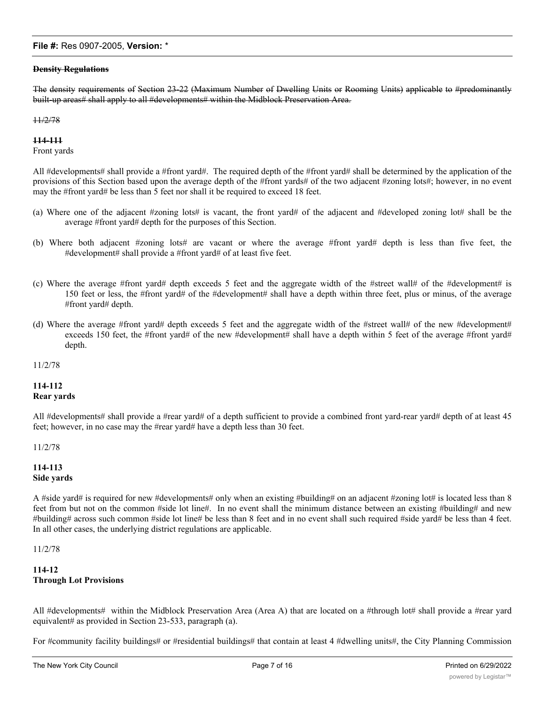#### **Density Regulations**

The density requirements of Section 23-22 (Maximum Number of Dwelling Units or Rooming Units) applicable to #predominantly built-up areas# shall apply to all #developments# within the Midblock Preservation Area.

#### 11/2/78

#### **114-111**

Front yards

All #developments# shall provide a #front yard#. The required depth of the #front yard# shall be determined by the application of the provisions of this Section based upon the average depth of the #front yards# of the two adjacent #zoning lots#; however, in no event may the #front yard# be less than 5 feet nor shall it be required to exceed 18 feet.

- (a) Where one of the adjacent #zoning lots# is vacant, the front yard# of the adjacent and #developed zoning lot# shall be the average #front yard# depth for the purposes of this Section.
- (b) Where both adjacent #zoning lots# are vacant or where the average #front yard# depth is less than five feet, the #development# shall provide a #front yard# of at least five feet.
- (c) Where the average #front yard# depth exceeds 5 feet and the aggregate width of the #street wall# of the #development# is 150 feet or less, the #front yard# of the #development# shall have a depth within three feet, plus or minus, of the average #front yard# depth.
- (d) Where the average #front yard# depth exceeds 5 feet and the aggregate width of the #street wall# of the new #development# exceeds 150 feet, the #front yard# of the new #development# shall have a depth within 5 feet of the average #front yard# depth.

11/2/78

# **114-112 Rear yards**

All #developments# shall provide a #rear yard# of a depth sufficient to provide a combined front yard-rear yard# depth of at least 45 feet; however, in no case may the #rear yard# have a depth less than 30 feet.

11/2/78

## **114-113 Side yards**

A #side yard# is required for new #developments# only when an existing #building# on an adjacent #zoning lot# is located less than 8 feet from but not on the common #side lot line#. In no event shall the minimum distance between an existing #building# and new #building# across such common #side lot line# be less than 8 feet and in no event shall such required #side yard# be less than 4 feet. In all other cases, the underlying district regulations are applicable.

11/2/78

## **114-12 Through Lot Provisions**

All #developments# within the Midblock Preservation Area (Area A) that are located on a #through lot# shall provide a #rear yard equivalent# as provided in Section 23-533, paragraph (a).

For #community facility buildings# or #residential buildings# that contain at least 4 #dwelling units#, the City Planning Commission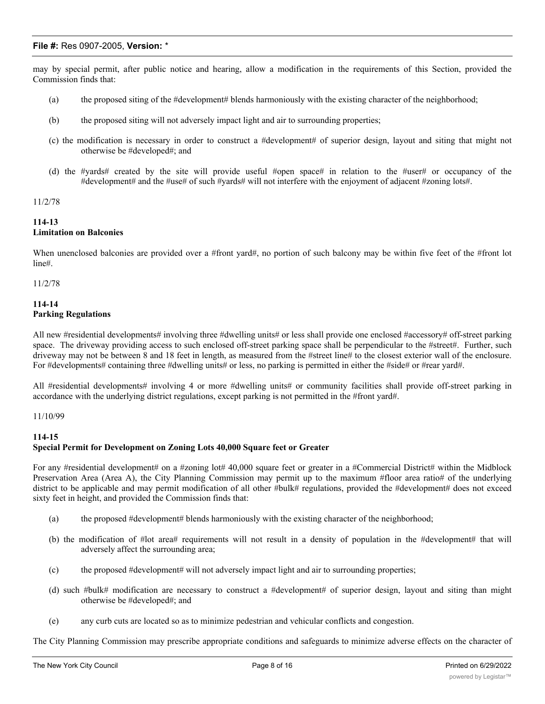may by special permit, after public notice and hearing, allow a modification in the requirements of this Section, provided the Commission finds that:

- (a) the proposed siting of the #development# blends harmoniously with the existing character of the neighborhood;
- (b) the proposed siting will not adversely impact light and air to surrounding properties;
- (c) the modification is necessary in order to construct a #development# of superior design, layout and siting that might not otherwise be #developed#; and
- (d) the #yards# created by the site will provide useful #open space# in relation to the #user# or occupancy of the #development# and the #use# of such #yards# will not interfere with the enjoyment of adjacent #zoning lots#.

#### 11/2/78

## **114-13**

# **Limitation on Balconies**

When unenclosed balconies are provided over a #front yard#, no portion of such balcony may be within five feet of the #front lot line#.

11/2/78

#### **114-14 Parking Regulations**

All new #residential developments# involving three #dwelling units# or less shall provide one enclosed #accessory# off-street parking space. The driveway providing access to such enclosed off-street parking space shall be perpendicular to the #street#. Further, such driveway may not be between 8 and 18 feet in length, as measured from the #street line# to the closest exterior wall of the enclosure. For #developments# containing three #dwelling units# or less, no parking is permitted in either the #side# or #rear yard#.

All #residential developments# involving 4 or more #dwelling units# or community facilities shall provide off-street parking in accordance with the underlying district regulations, except parking is not permitted in the #front yard#.

## 11/10/99

# **114-15 Special Permit for Development on Zoning Lots 40,000 Square feet or Greater**

For any #residential development# on a #zoning lot# 40,000 square feet or greater in a #Commercial District# within the Midblock Preservation Area (Area A), the City Planning Commission may permit up to the maximum #floor area ratio# of the underlying district to be applicable and may permit modification of all other #bulk# regulations, provided the #development# does not exceed sixty feet in height, and provided the Commission finds that:

- (a) the proposed #development# blends harmoniously with the existing character of the neighborhood;
- (b) the modification of #lot area# requirements will not result in a density of population in the #development# that will adversely affect the surrounding area;
- (c) the proposed #development# will not adversely impact light and air to surrounding properties;
- (d) such #bulk# modification are necessary to construct a #development# of superior design, layout and siting than might otherwise be #developed#; and
- (e) any curb cuts are located so as to minimize pedestrian and vehicular conflicts and congestion.

The City Planning Commission may prescribe appropriate conditions and safeguards to minimize adverse effects on the character of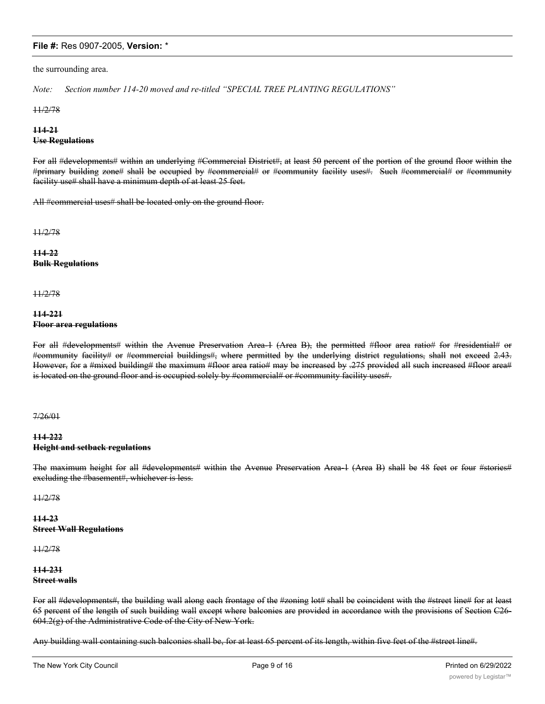the surrounding area.

*Note: Section number 114-20 moved and re-titled "SPECIAL TREE PLANTING REGULATIONS"*

11/2/78

## **114-21 Use Regulations**

For all #developments# within an underlying #Commercial District#, at least 50 percent of the portion of the ground floor within the #primary building zone# shall be occupied by #commercial# or #community facility uses#. Such #commercial# or #community facility use# shall have a minimum depth of at least 25 feet.

All #commercial uses# shall be located only on the ground floor.

11/2/78

**114-22 Bulk Regulations**

11/2/78

#### **114-221 Floor area regulations**

For all #developments# within the Avenue Preservation Area-1 (Area B), the permitted #floor area ratio# for #residential# or #community facility# or #commercial buildings#, where permitted by the underlying district regulations, shall not exceed 2.43. However, for a #mixed building# the maximum #floor area ratio# may be increased by .275 provided all such increased #floor area# is located on the ground floor and is occupied solely by #commercial# or #community facility uses#.

7/26/01

## **114-222 Height and setback regulations**

The maximum height for all #developments# within the Avenue Preservation Area-1 (Area B) shall be 48 feet or four #stories# excluding the #basement#, whichever is less.

11/2/78

**114-23 Street Wall Regulations**

11/2/78

#### **114-231 Street walls**

For all #developments#, the building wall along each frontage of the #zoning lot# shall be coincident with the #street line# for at least 65 percent of the length of such building wall except where balconies are provided in accordance with the provisions of Section C26-  $604.2(g)$  of the Administrative Code of the City of New York.

Any building wall containing such balconies shall be, for at least 65 percent of its length, within five feet of the #street line#.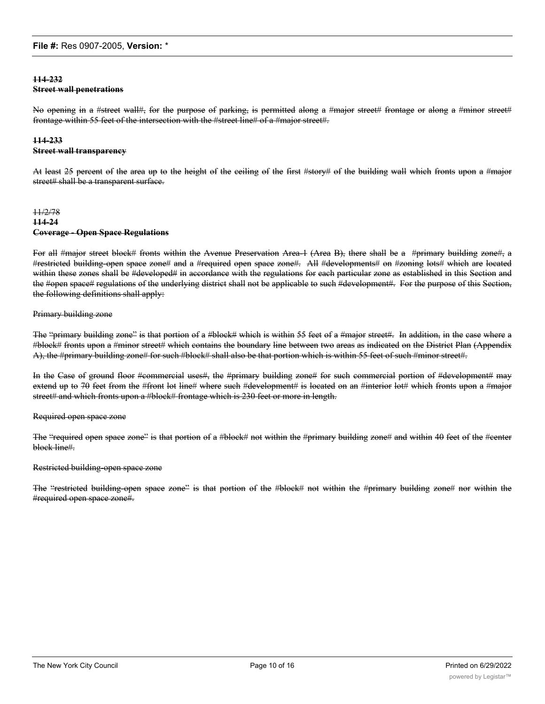## **114-232 Street wall penetrations**

No opening in a #street wall#, for the purpose of parking, is permitted along a #major street# frontage or along a #minor street# frontage within 55 feet of the intersection with the #street line# of a #major street#.

# **114-233**

## **Street wall transparency**

At least 25 percent of the area up to the height of the ceiling of the first #story# of the building wall which fronts upon a #major street# shall be a transparent surface.

## 11/2/78 **114-24 Coverage - Open Space Regulations**

For all #major street block# fronts within the Avenue Preservation Area-1 (Area B), there shall be a #primary building zone#, a #restricted building-open space zone# and a #required open space zone#. All #developments# on #zoning lots# which are located within these zones shall be #developed# in accordance with the regulations for each particular zone as established in this Section and the #open space# regulations of the underlying district shall not be applicable to such #development#. For the purpose of this Section, the following definitions shall apply:

## Primary building zone

The "primary building zone" is that portion of a #block# which is within 55 feet of a #major street#. In addition, in the case where a #block# fronts upon a #minor street# which contains the boundary line between two areas as indicated on the District Plan (Appendix A), the #primary building zone# for such #block# shall also be that portion which is within 55 feet of such #minor street#.

In the Case of ground floor #commercial uses#, the #primary building zone# for such commercial portion of #development# may extend up to 70 feet from the #front lot line# where such #development# is located on an #interior lot# which fronts upon a #major street# and which fronts upon a #block# frontage which is 230 feet or more in length.

#### Required open space zone

The "required open space zone" is that portion of a #block# not within the #primary building zone# and within 40 feet of the #center block line#.

#### Restricted building-open space zone

The "restricted building-open space zone" is that portion of the #block# not within the #primary building zone# nor within the #required open space zone#.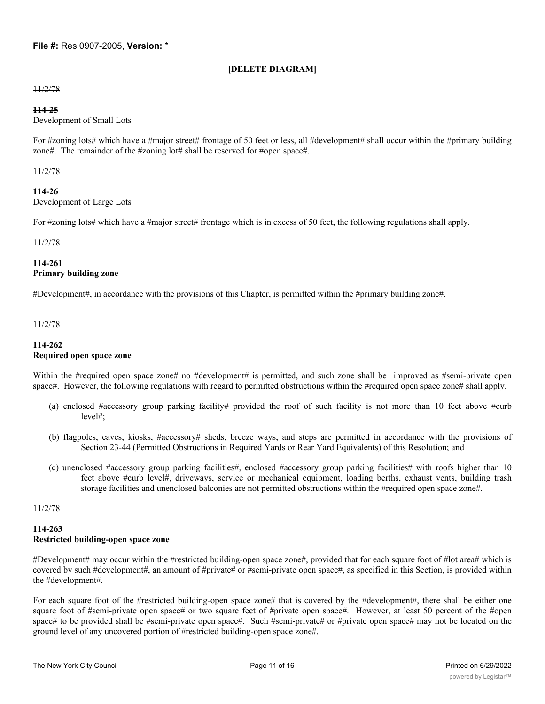# **[DELETE DIAGRAM]**

#### 11/2/78

#### **114-25**

Development of Small Lots

For #zoning lots# which have a #major street# frontage of 50 feet or less, all #development# shall occur within the #primary building zone#. The remainder of the #zoning lot# shall be reserved for #open space#.

11/2/78

## **114-26**

Development of Large Lots

For #zoning lots# which have a #major street# frontage which is in excess of 50 feet, the following regulations shall apply.

#### 11/2/78

## **114-261 Primary building zone**

#Development#, in accordance with the provisions of this Chapter, is permitted within the #primary building zone#.

11/2/78

## **114-262 Required open space zone**

Within the #required open space zone# no #development# is permitted, and such zone shall be improved as #semi-private open space#. However, the following regulations with regard to permitted obstructions within the #required open space zone# shall apply.

- (a) enclosed #accessory group parking facility# provided the roof of such facility is not more than 10 feet above #curb level#;
- (b) flagpoles, eaves, kiosks, #accessory# sheds, breeze ways, and steps are permitted in accordance with the provisions of Section 23-44 (Permitted Obstructions in Required Yards or Rear Yard Equivalents) of this Resolution; and
- (c) unenclosed #accessory group parking facilities#, enclosed #accessory group parking facilities# with roofs higher than 10 feet above #curb level#, driveways, service or mechanical equipment, loading berths, exhaust vents, building trash storage facilities and unenclosed balconies are not permitted obstructions within the #required open space zone#.

11/2/78

# **114-263 Restricted building-open space zone**

#Development# may occur within the #restricted building-open space zone#, provided that for each square foot of #lot area# which is covered by such #development#, an amount of #private# or #semi-private open space#, as specified in this Section, is provided within the #development#.

For each square foot of the #restricted building-open space zone# that is covered by the #development#, there shall be either one square foot of #semi-private open space# or two square feet of #private open space#. However, at least 50 percent of the #open space# to be provided shall be #semi-private open space#. Such #semi-private# or #private open space# may not be located on the ground level of any uncovered portion of #restricted building-open space zone#.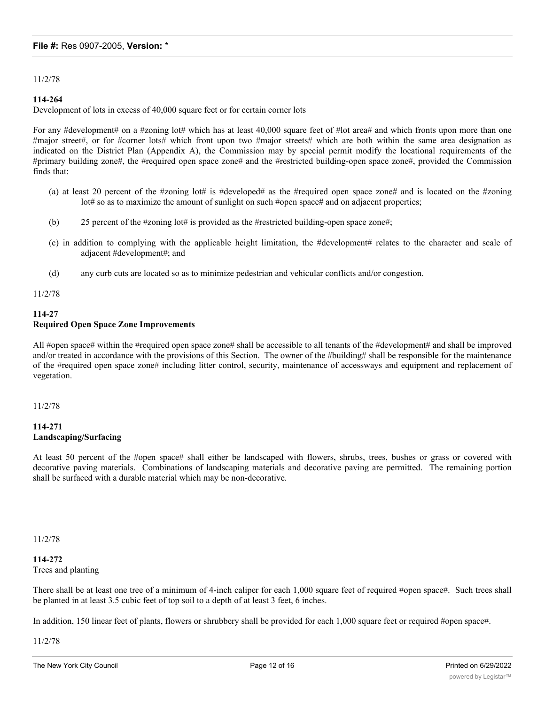11/2/78

## **114-264**

Development of lots in excess of 40,000 square feet or for certain corner lots

For any #development# on a #zoning lot# which has at least 40,000 square feet of #lot area# and which fronts upon more than one #major street#, or for #corner lots# which front upon two #major streets# which are both within the same area designation as indicated on the District Plan (Appendix A), the Commission may by special permit modify the locational requirements of the #primary building zone#, the #required open space zone# and the #restricted building-open space zone#, provided the Commission finds that:

- (a) at least 20 percent of the #zoning lot# is #developed# as the #required open space zone# and is located on the #zoning lot# so as to maximize the amount of sunlight on such #open space# and on adjacent properties;
- (b) 25 percent of the #zoning lot# is provided as the #restricted building-open space zone#;
- (c) in addition to complying with the applicable height limitation, the #development# relates to the character and scale of adjacent #development#; and
- (d) any curb cuts are located so as to minimize pedestrian and vehicular conflicts and/or congestion.

11/2/78

# **114-27 Required Open Space Zone Improvements**

All #open space# within the #required open space zone# shall be accessible to all tenants of the #development# and shall be improved and/or treated in accordance with the provisions of this Section. The owner of the #building# shall be responsible for the maintenance of the #required open space zone# including litter control, security, maintenance of accessways and equipment and replacement of vegetation.

11/2/78

## **114-271 Landscaping/Surfacing**

At least 50 percent of the #open space# shall either be landscaped with flowers, shrubs, trees, bushes or grass or covered with decorative paving materials. Combinations of landscaping materials and decorative paving are permitted. The remaining portion shall be surfaced with a durable material which may be non-decorative.

11/2/78

**114-272**

Trees and planting

There shall be at least one tree of a minimum of 4-inch caliper for each 1,000 square feet of required #open space#. Such trees shall be planted in at least 3.5 cubic feet of top soil to a depth of at least 3 feet, 6 inches.

In addition, 150 linear feet of plants, flowers or shrubbery shall be provided for each 1,000 square feet or required #open space#.

11/2/78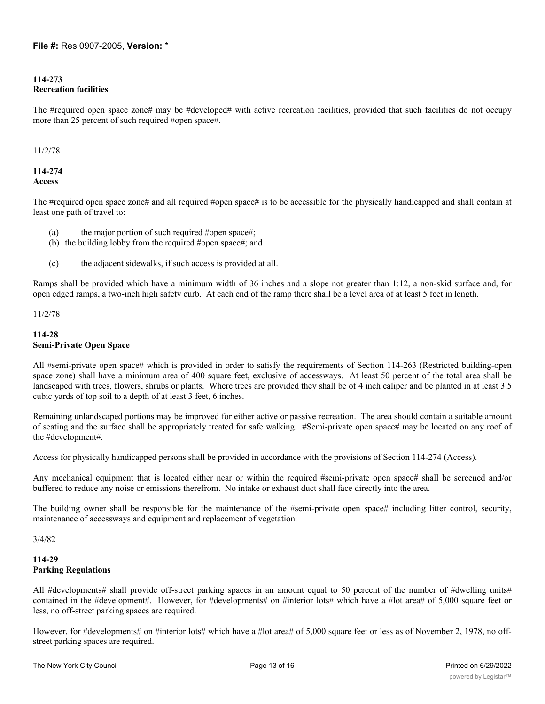# **114-273 Recreation facilities**

The #required open space zone# may be #developed# with active recreation facilities, provided that such facilities do not occupy more than 25 percent of such required #open space#.

## 11/2/78

# **114-274 Access**

The #required open space zone# and all required #open space# is to be accessible for the physically handicapped and shall contain at least one path of travel to:

- (a) the major portion of such required #open space#;
- (b) the building lobby from the required #open space#; and
- (c) the adjacent sidewalks, if such access is provided at all.

Ramps shall be provided which have a minimum width of 36 inches and a slope not greater than 1:12, a non-skid surface and, for open edged ramps, a two-inch high safety curb. At each end of the ramp there shall be a level area of at least 5 feet in length.

11/2/78

## **114-28 Semi-Private Open Space**

All #semi-private open space# which is provided in order to satisfy the requirements of Section 114-263 (Restricted building-open space zone) shall have a minimum area of 400 square feet, exclusive of accessways. At least 50 percent of the total area shall be landscaped with trees, flowers, shrubs or plants. Where trees are provided they shall be of 4 inch caliper and be planted in at least 3.5 cubic yards of top soil to a depth of at least 3 feet, 6 inches.

Remaining unlandscaped portions may be improved for either active or passive recreation. The area should contain a suitable amount of seating and the surface shall be appropriately treated for safe walking. #Semi-private open space# may be located on any roof of the #development#.

Access for physically handicapped persons shall be provided in accordance with the provisions of Section 114-274 (Access).

Any mechanical equipment that is located either near or within the required #semi-private open space# shall be screened and/or buffered to reduce any noise or emissions therefrom. No intake or exhaust duct shall face directly into the area.

The building owner shall be responsible for the maintenance of the #semi-private open space# including litter control, security, maintenance of accessways and equipment and replacement of vegetation.

3/4/82

## **114-29 Parking Regulations**

All #developments# shall provide off-street parking spaces in an amount equal to 50 percent of the number of #dwelling units# contained in the #development#. However, for #developments# on #interior lots# which have a #lot area# of 5,000 square feet or less, no off-street parking spaces are required.

However, for #developments# on #interior lots# which have a #lot area# of 5,000 square feet or less as of November 2, 1978, no offstreet parking spaces are required.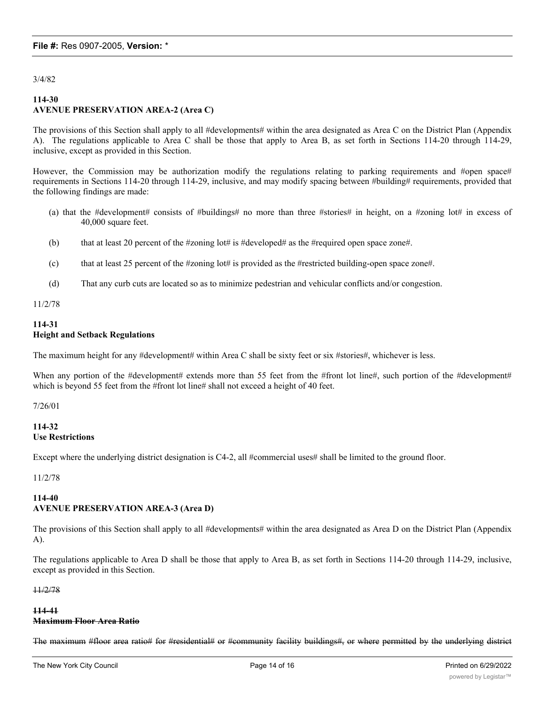3/4/82

# **114-30 AVENUE PRESERVATION AREA-2 (Area C)**

The provisions of this Section shall apply to all #developments# within the area designated as Area C on the District Plan (Appendix A). The regulations applicable to Area C shall be those that apply to Area B, as set forth in Sections 114-20 through 114-29, inclusive, except as provided in this Section.

However, the Commission may be authorization modify the regulations relating to parking requirements and #open space# requirements in Sections 114-20 through 114-29, inclusive, and may modify spacing between #building# requirements, provided that the following findings are made:

- (a) that the #development# consists of #buildings# no more than three #stories# in height, on a #zoning lot# in excess of 40,000 square feet.
- (b) that at least 20 percent of the #zoning lot# is #developed# as the #required open space zone#.
- (c) that at least 25 percent of the #zoning lot# is provided as the #restricted building-open space zone#.
- (d) That any curb cuts are located so as to minimize pedestrian and vehicular conflicts and/or congestion.

11/2/78

## **114-31 Height and Setback Regulations**

The maximum height for any #development# within Area C shall be sixty feet or six #stories#, whichever is less.

When any portion of the #development# extends more than 55 feet from the #front lot line#, such portion of the #development# which is beyond 55 feet from the #front lot line# shall not exceed a height of 40 feet.

7/26/01

## **114-32 Use Restrictions**

Except where the underlying district designation is C4-2, all #commercial uses# shall be limited to the ground floor.

11/2/78

## **114-40 AVENUE PRESERVATION AREA-3 (Area D)**

The provisions of this Section shall apply to all #developments# within the area designated as Area D on the District Plan (Appendix A).

The regulations applicable to Area D shall be those that apply to Area B, as set forth in Sections 114-20 through 114-29, inclusive, except as provided in this Section.

11/2/78

## **114-41**

## **Maximum Floor Area Ratio**

The maximum #floor area ratio# for #residential# or #community facility buildings#, or where permitted by the underlying district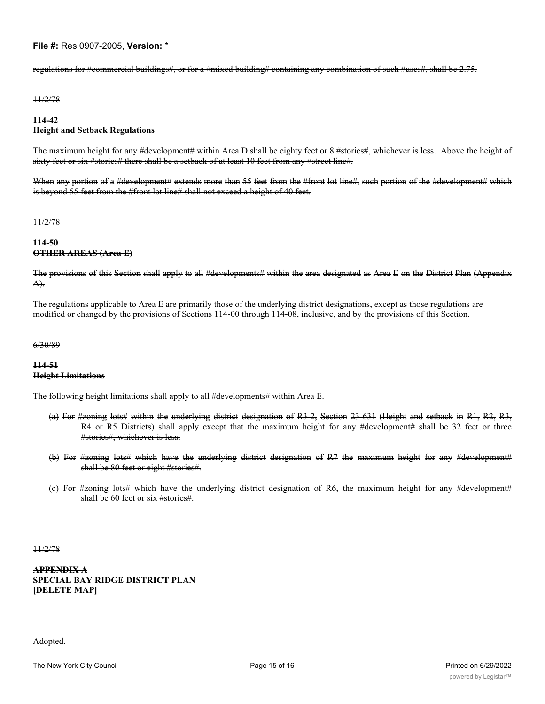regulations for #commercial buildings#, or for a #mixed building# containing any combination of such #uses#, shall be 2.75.

#### 11/2/78

# **114-42 Height and Setback Regulations**

The maximum height for any #development# within Area D shall be eighty feet or 8 #stories#, whichever is less. Above the height of sixty feet or six #stories# there shall be a setback of at least 10 feet from any #street line#.

When any portion of a #development# extends more than 55 feet from the #front lot line#, such portion of the #development# which is beyond 55 feet from the #front lot line# shall not exceed a height of 40 feet.

11/2/78

## **114-50 OTHER AREAS (Area E)**

The provisions of this Section shall apply to all #developments# within the area designated as Area E on the District Plan (Appendix A).

The regulations applicable to Area E are primarily those of the underlying district designations, except as those regulations are modified or changed by the provisions of Sections 114-00 through 114-08, inclusive, and by the provisions of this Section.

#### 6/30/89

## **114-51 Height Limitations**

The following height limitations shall apply to all #developments# within Area E.

- (a) For #zoning lots# within the underlying district designation of R3-2, Section 23-631 (Height and setback in R1, R2, R3, R4 or R5 Districts) shall apply except that the maximum height for any #development# shall be 32 feet or three #stories#, whichever is less.
- (b) For #zoning lots# which have the underlying district designation of R7 the maximum height for any #development# shall be 80 feet or eight #stories#.
- (c) For #zoning lots# which have the underlying district designation of R6, the maximum height for any #development# shall be 60 feet or six #stories#.

11/2/78

**APPENDIX A SPECIAL BAY RIDGE DISTRICT PLAN [DELETE MAP]**

Adopted.